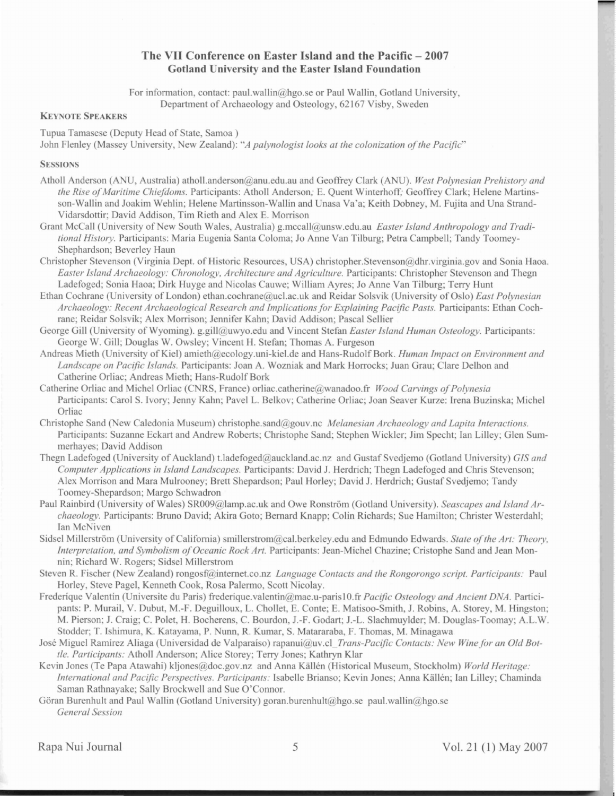# **The VII Conference on Easter Island and the Pacific - 2007 Gotland University and the Easter Island Foundation**

For information, contact: paul.wallin  $\omega$  hgo.se or Paul Wallin, Gotland University, Department of Archaeology and Osteology, 62167 Visby, Sweden

## **KEYNOTE SPEAKERS**

Tupua Tamasese (Deputy Head of State, Samoa)

John Flenley (Massey University, New Zealand): "A palynologist looks at the colonization of the Pacific"

## **SESSIONS**

- Atholl Anderson (ANU, Australia) atholl.anderson@anu.edu.au and Geoffrey Clark (ANU). West Polynesian Prehistory and *the Rise of Maritime Chiefdoms.* Participants: Atholl Anderson; E. Quent Winterhoff; Geoffrey Clark; Helene Martinsson-Wallin and Joakim Wehlin; Helene Martinsson-Wallin and Unasa Va'a; Keith Dobney, M. Fujita and Una Strand-Vidarsdottir; David Addison, Tim Rieth and Alex E. Morrison
- Grant McCall (University of New South Wales, Australia) g.mccall@unsw.edu.au Easter Island Anthropology and Tradi*tional History.* Participants: Maria Eugenia Santa Coloma; Jo Anne Van Tilburg; Petra Campbell; Tandy Toomey-Shephardson; Beverley Haun
- Christopher Stevenson (Virginia Dept. of Historic Resources, USA) christopher.Stevenson@dhr.virginia.gov and Sonia Haoa. *Easter Island Archaeology: Chronology, Architecture and Agriculture. Participants: Christopher Stevenson and Thegn* Ladefoged; Sonia Haoa; Dirk Huyge and Nicolas Cauwe; William Ayres; Jo Anne Van Tilburg; Terry Hunt
- Ethan Cochrane (University of London) ethan.cochrane@ucl.ac.uk and Reidar Solsvik (University of 0 10) *East Polynesian Archaeology: Recent Archaeological Research and Implicationsfor Explaining Pacific Pasts.* Participant: Ethan Cochrane; Reidar Solsvik; Alex Morrison; Jennifer Kahn; David Addison; Pascal Sellier
- George Gill (University of Wyoming). g.gill@uwyo.edu and Vincent Stefan *Easter island Human* 0 *teology.* Participants: George W. Gill; Douglas W. Owsley; Vincent H. Stefan; Thomas A. Furgeson
- Andreas Mieth (University of Kiel) amieth@ecology.uni-kiel.de and Hans-Rudolf Bork. *Human Impact on Environment and Landscape on Pacific Islands.* Participant: Joan A. Wozniak and Mark Horrock ; Juan Grau; Clare Delhon and Catherine Orliac; Andreas Mieth; Hans-Rudolf Bork
- Catherine Orliac and Michel Orliac (CNRS, France) orliac.catherine@wanadoo.fr *Wood Carvings of Polynesia* Participants: Carol S. Ivory; Jenny Kahn; Pavel L. Belkov; Catherine Orliac; Joan Seaver Kurze: Irena Buzinska; Michel Orliac
- Christophe Sand (New Caledonia Museum) christophe.sand@gouv.nc *Melanesian Archaeology and Lapita Interactions.* Participants: Suzanne Eckart and Andrew Roberts; Christophe Sand; Stephen Wickler; Jim Specht; Ian Lilley; Glen Summerhayes; David Addison
- Thegn Ladefoged (University of Auckland) t.ladefoged@auckland.ac.nz and Gustaf Svedjemo (Gotland University) *GIS and Computer Applications in <i>Island Landscapes*. Participants: David J. Herdrich; Thegn Ladefoged and Chris Stevenson; Alex Morrison and Mara Mulrooney; Brett Shepardson; Paul Horley; David J. Herdrich; Gustaf Svedjemo; Tandy Toomey-Shepardson; Margo Schwadron
- Paul Rainbird (University of Wales) SR009@lamp.ac.uk and Owe Ronström (Gotland University). *Seascapes and Island Archaeology.* Participants: Bruno David; Akira Goto; Bernard Knapp; Colin Richards; Sue Hamilton; Christer Westerdahl; Ian McNiven
- Sidsel Millerström (University of California) smillerstrom @cal.berkeley.edu and Edmundo Edwards. *State of the Art: Theory*, *Interpretation, and Symbolism of Oceanic Rock Art.* Participants: Jean-Michel Chazine; Cristophe Sand and Jean Monnin; Richard W. Rogers; Sidsel Millerstrom
- Steven R. Fischer (New Zealand) rongosf@internet.co.nz *Language Contacts and the Rongorongo script. Participants:* Paul Horley, Steve Pagel, Kenneth Cook, Rosa Palermo, Scott Nicolay.
- Frederique Valentin (Universite du Paris) frederique.valentin@mae.u-paris10.fr *Pacific Osteology and Ancient DNA*. Participants: P. Murail, V. Dubut, M.-F. Deguilloux, L. Chollet, E. Conte; E. Matisoo-Smith, J. Robins, A. Storey, M. Hingston; M. Pierson; 1. Craig; C. Polet, H. Bocherens, C. Bourdon, J.-F. Godart; J.-L. Slachmuyider; M. Douglas-Toomay; A.L.W. Stodder; T. Ishimura, K. Katayama, P. Nunn, R. Kumar, S. Matararaba, F. Thomas, M. Minagawa
- José Miguel Ramírez Aliaga (Universidad de Valparaíso) rapanui@uv.cl\_Trans-Pacific Contacts: New Wine for an Old Bot*tle. Participants: Atholl Anderson; Alice Storey; Terry Jones; Kathryn Klar*
- Kevin Jones (Te Papa Atawahi) kljones@doc.gov.nz and Anna Källén (Historical Museum, Stockholm) *World Heritage: International and Pacific Perspectives. Participants: Isabelle Brianso; Kevin Jones; Anna Källén; Ian Lilley; Chaminda* Saman Rathnayake; Sally Brockwell and Sue O'Connor.

Göran Burenhult and Paul Wallin (Gotland University) goran.burenhult@hgo.se paul.wallin@hgo.se *General Se sion*